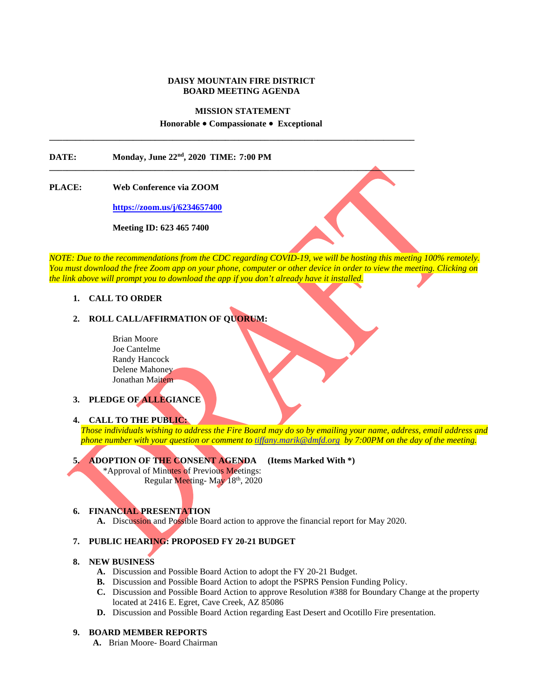### **DAISY MOUNTAIN FIRE DISTRICT BOARD MEETING AGENDA**

### **MISSION STATEMENT**

#### **Honorable Compassionate Exceptional**

**\_\_\_\_\_\_\_\_\_\_\_\_\_\_\_\_\_\_\_\_\_\_\_\_\_\_\_\_\_\_\_\_\_\_\_\_\_\_\_\_\_\_\_\_\_\_\_\_\_\_\_\_\_\_\_\_\_\_\_\_\_\_\_\_\_\_\_\_\_\_\_\_\_\_\_\_\_\_\_\_\_\_\_**

**\_\_\_\_\_\_\_\_\_\_\_\_\_\_\_\_\_\_\_\_\_\_\_\_\_\_\_\_\_\_\_\_\_\_\_\_\_\_\_\_\_\_\_\_\_\_\_\_\_\_\_\_\_\_\_\_\_\_\_\_\_\_\_\_\_\_\_\_\_\_\_\_\_\_\_\_\_\_\_\_\_\_\_**

**DATE: Monday, June 22nd, 2020 TIME: 7:00 PM**

### **PLACE: Web Conference via ZOOM**

**<https://zoom.us/j/6234657400>**

**Meeting ID: 623 465 7400**

*NOTE: Due to the recommendations from the CDC regarding COVID-19, we will be hosting this meeting 100% remotely. You must download the free Zoom app on your phone, computer or other device in order to view the meeting. Clicking on the link above will prompt you to download the app if you don't already have it installed.*

### **1. CALL TO ORDER**

## **2. ROLL CALL/AFFIRMATION OF QUORUM:**

Brian Moore Joe Cantelme Randy Hancock Delene Mahoney Jonathan Maitem

## **3. PLEDGE OF ALLEGIANCE**

#### **4. CALL TO THE PUBLIC:**

*Those individuals wishing to address the Fire Board may do so by emailing your name, address, email address and phone number with your question or comment to [tiffany.marik@dmfd.org](mailto:tiffany.marik@dmfd.org) by 7:00PM on the day of the meeting.* 

# **5. ADOPTION OF THE CONSENT AGENDA (Items Marked With \*)**

 \*Approval of Minutes of Previous Meetings: Regular Meeting- May 18th, 2020

### **6. FINANCIAL PRESENTATION**

**A.** Discussion and Possible Board action to approve the financial report for May 2020.

## **7. PUBLIC HEARING: PROPOSED FY 20-21 BUDGET**

### **8. NEW BUSINESS**

- **A.** Discussion and Possible Board Action to adopt the FY 20-21 Budget.
- **B.** Discussion and Possible Board Action to adopt the PSPRS Pension Funding Policy.
- **C.** Discussion and Possible Board Action to approve Resolution #388 for Boundary Change at the property located at 2416 E. Egret, Cave Creek, AZ 85086
- **D.** Discussion and Possible Board Action regarding East Desert and Ocotillo Fire presentation.

### **9. BOARD MEMBER REPORTS**

**A.** Brian Moore- Board Chairman